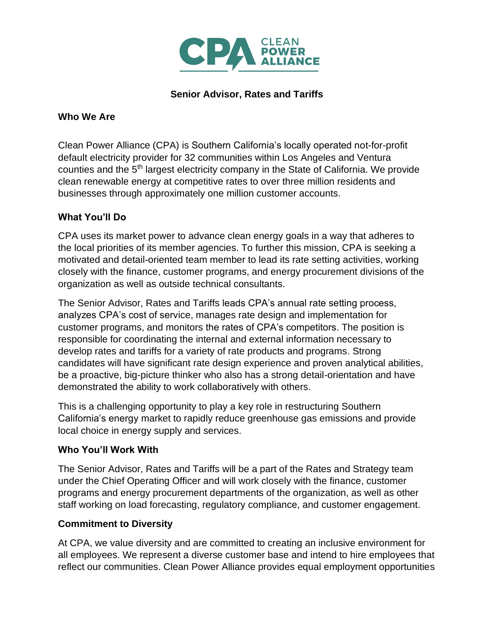

# **Senior Advisor, Rates and Tariffs**

#### **Who We Are**

Clean Power Alliance (CPA) is Southern California's locally operated not-for-profit default electricity provider for 32 communities within Los Angeles and Ventura counties and the 5<sup>th</sup> largest electricity company in the State of California. We provide clean renewable energy at competitive rates to over three million residents and businesses through approximately one million customer accounts.

## **What You'll Do**

CPA uses its market power to advance clean energy goals in a way that adheres to the local priorities of its member agencies. To further this mission, CPA is seeking a motivated and detail-oriented team member to lead its rate setting activities, working closely with the finance, customer programs, and energy procurement divisions of the organization as well as outside technical consultants.

The Senior Advisor, Rates and Tariffs leads CPA's annual rate setting process, analyzes CPA's cost of service, manages rate design and implementation for customer programs, and monitors the rates of CPA's competitors. The position is responsible for coordinating the internal and external information necessary to develop rates and tariffs for a variety of rate products and programs. Strong candidates will have significant rate design experience and proven analytical abilities, be a proactive, big-picture thinker who also has a strong detail-orientation and have demonstrated the ability to work collaboratively with others.

This is a challenging opportunity to play a key role in restructuring Southern California's energy market to rapidly reduce greenhouse gas emissions and provide local choice in energy supply and services.

## **Who You'll Work With**

The Senior Advisor, Rates and Tariffs will be a part of the Rates and Strategy team under the Chief Operating Officer and will work closely with the finance, customer programs and energy procurement departments of the organization, as well as other staff working on load forecasting, regulatory compliance, and customer engagement.

## **Commitment to Diversity**

At CPA, we value diversity and are committed to creating an inclusive environment for all employees. We represent a diverse customer base and intend to hire employees that reflect our communities. Clean Power Alliance provides equal employment opportunities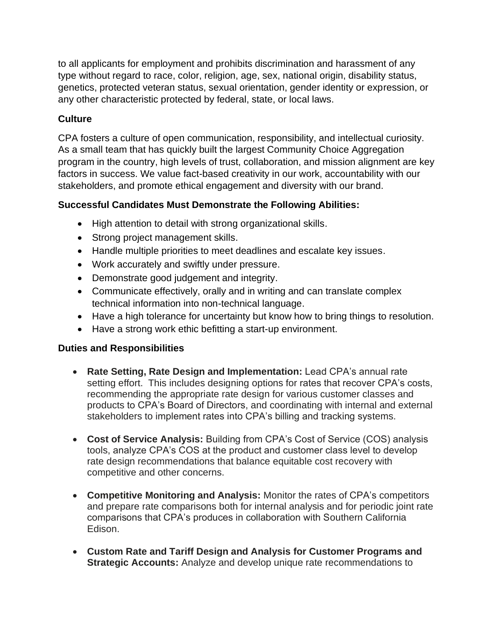to all applicants for employment and prohibits discrimination and harassment of any type without regard to race, color, religion, age, sex, national origin, disability status, genetics, protected veteran status, sexual orientation, gender identity or expression, or any other characteristic protected by federal, state, or local laws.

# **Culture**

CPA fosters a culture of open communication, responsibility, and intellectual curiosity. As a small team that has quickly built the largest Community Choice Aggregation program in the country, high levels of trust, collaboration, and mission alignment are key factors in success. We value fact-based creativity in our work, accountability with our stakeholders, and promote ethical engagement and diversity with our brand.

## **Successful Candidates Must Demonstrate the Following Abilities:**

- High attention to detail with strong organizational skills.
- Strong project management skills.
- Handle multiple priorities to meet deadlines and escalate key issues.
- Work accurately and swiftly under pressure.
- Demonstrate good judgement and integrity.
- Communicate effectively, orally and in writing and can translate complex technical information into non-technical language.
- Have a high tolerance for uncertainty but know how to bring things to resolution.
- Have a strong work ethic befitting a start-up environment.

## **Duties and Responsibilities**

- **Rate Setting, Rate Design and Implementation:** Lead CPA's annual rate setting effort. This includes designing options for rates that recover CPA's costs, recommending the appropriate rate design for various customer classes and products to CPA's Board of Directors, and coordinating with internal and external stakeholders to implement rates into CPA's billing and tracking systems.
- **Cost of Service Analysis:** Building from CPA's Cost of Service (COS) analysis tools, analyze CPA's COS at the product and customer class level to develop rate design recommendations that balance equitable cost recovery with competitive and other concerns.
- **Competitive Monitoring and Analysis:** Monitor the rates of CPA's competitors and prepare rate comparisons both for internal analysis and for periodic joint rate comparisons that CPA's produces in collaboration with Southern California Edison.
- **Custom Rate and Tariff Design and Analysis for Customer Programs and Strategic Accounts:** Analyze and develop unique rate recommendations to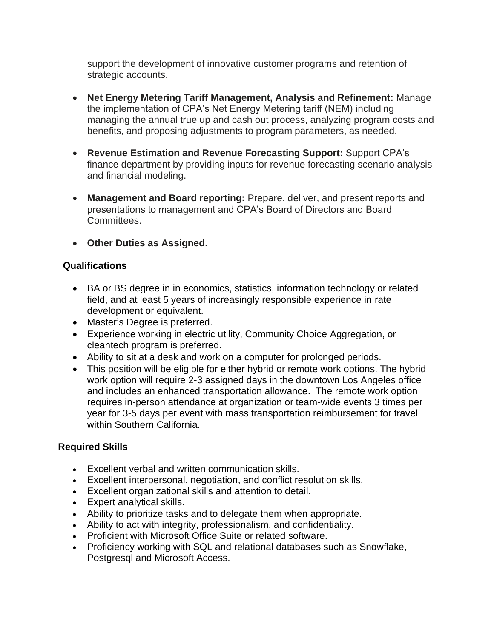support the development of innovative customer programs and retention of strategic accounts.

- **Net Energy Metering Tariff Management, Analysis and Refinement:** Manage the implementation of CPA's Net Energy Metering tariff (NEM) including managing the annual true up and cash out process, analyzing program costs and benefits, and proposing adjustments to program parameters, as needed.
- **Revenue Estimation and Revenue Forecasting Support:** Support CPA's finance department by providing inputs for revenue forecasting scenario analysis and financial modeling.
- **Management and Board reporting:** Prepare, deliver, and present reports and presentations to management and CPA's Board of Directors and Board Committees.
- **Other Duties as Assigned.**

## **Qualifications**

- BA or BS degree in in economics, statistics, information technology or related field, and at least 5 years of increasingly responsible experience in rate development or equivalent.
- Master's Degree is preferred.
- Experience working in electric utility, Community Choice Aggregation, or cleantech program is preferred.
- Ability to sit at a desk and work on a computer for prolonged periods.
- This position will be eligible for either hybrid or remote work options. The hybrid work option will require 2-3 assigned days in the downtown Los Angeles office and includes an enhanced transportation allowance. The remote work option requires in-person attendance at organization or team-wide events 3 times per year for 3-5 days per event with mass transportation reimbursement for travel within Southern California.

## **Required Skills**

- Excellent verbal and written communication skills.
- Excellent interpersonal, negotiation, and conflict resolution skills.
- Excellent organizational skills and attention to detail.
- Expert analytical skills.
- Ability to prioritize tasks and to delegate them when appropriate.
- Ability to act with integrity, professionalism, and confidentiality.
- Proficient with Microsoft Office Suite or related software.
- Proficiency working with SQL and relational databases such as Snowflake, Postgresql and Microsoft Access.